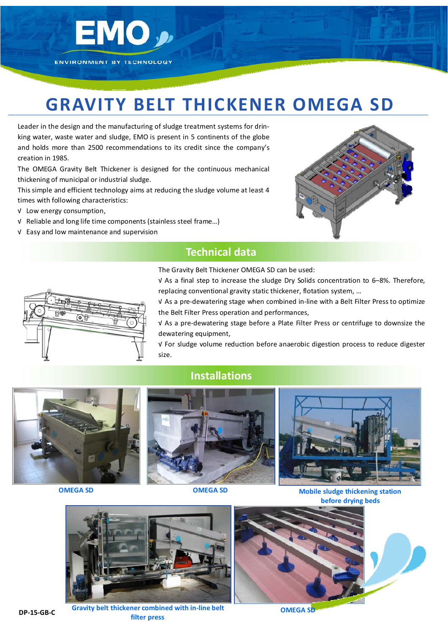

# **GRAVITY BELT THICKENER OMEGA SD**

Leader in the design and the manufacturing of sludge treatment systems for drin‐ king water, waste water and sludge, EMO is present in 5 continents of the globe and holds more than 2500 recommendations to its credit since the company's creation in 1985.

The OMEGA Gravity Belt Thickener is designed for the continuous mechanical thickening of municipal or industrial sludge.

This simple and efficient technology aims at reducing the sludge volume at least 4 times with following characteristics:

- √ Low energy consumption,
- √ Reliable and long life time components (stainless steel frame…)
- √ Easy and low maintenance and supervision



## **Technical data**

The Gravity Belt Thickener OMEGA SD can be used:

√ As a final step to increase the sludge Dry Solids concentration to 6–8%. Therefore, replacing conventional gravity static thickener, flotation system, …

√ As a pre‐dewatering stage when combined in‐line with a Belt Filter Press to optimize the Belt Filter Press operation and performances,

√ As a pre‐dewatering stage before a Plate Filter Press or centrifuge to downsize the dewatering equipment,

√ For sludge volume reduction before anaerobic digestion process to reduce digester size.



### **Installations**



**OMEGA** SD **OMEGA** SD **MObile** sludge thickening station **before drying beds**



**DP‐15‐GB‐C**

**Gravity belt thickener combined with in‐line belt filter press**



**OMEGA** SD